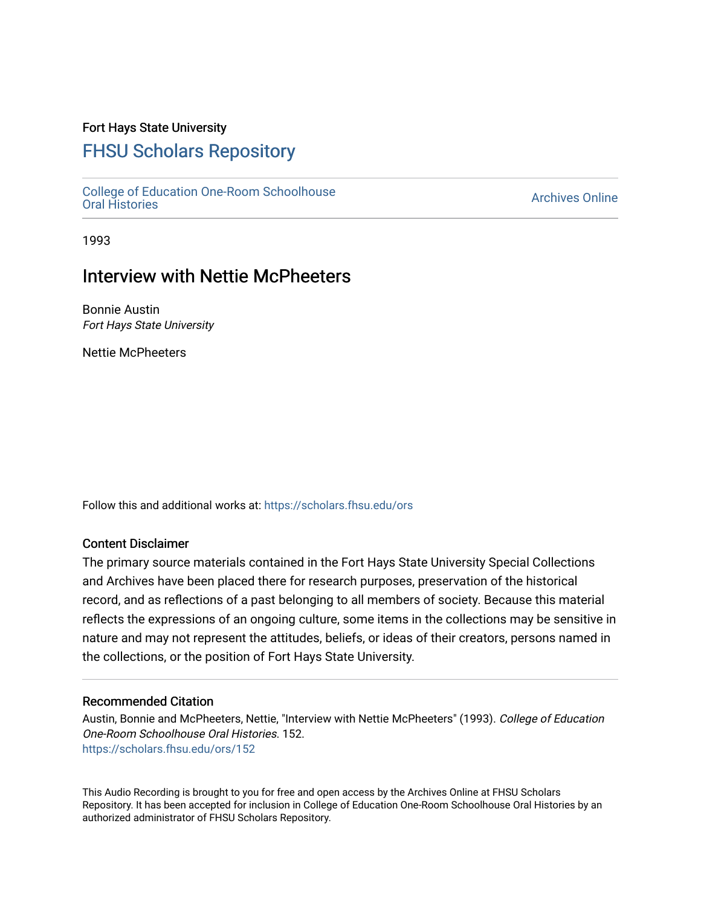## Fort Hays State University

# [FHSU Scholars Repository](https://scholars.fhsu.edu/)

[College of Education One-Room Schoolhouse](https://scholars.fhsu.edu/ors) [Oral Histories](https://scholars.fhsu.edu/ors) [Archives Online](https://scholars.fhsu.edu/archives) 

1993

# Interview with Nettie McPheeters

Bonnie Austin Fort Hays State University

Nettie McPheeters

Follow this and additional works at: [https://scholars.fhsu.edu/ors](https://scholars.fhsu.edu/ors?utm_source=scholars.fhsu.edu%2Fors%2F152&utm_medium=PDF&utm_campaign=PDFCoverPages) 

#### Content Disclaimer

The primary source materials contained in the Fort Hays State University Special Collections and Archives have been placed there for research purposes, preservation of the historical record, and as reflections of a past belonging to all members of society. Because this material reflects the expressions of an ongoing culture, some items in the collections may be sensitive in nature and may not represent the attitudes, beliefs, or ideas of their creators, persons named in the collections, or the position of Fort Hays State University.

#### Recommended Citation

Austin, Bonnie and McPheeters, Nettie, "Interview with Nettie McPheeters" (1993). College of Education One-Room Schoolhouse Oral Histories. 152. [https://scholars.fhsu.edu/ors/152](https://scholars.fhsu.edu/ors/152?utm_source=scholars.fhsu.edu%2Fors%2F152&utm_medium=PDF&utm_campaign=PDFCoverPages) 

This Audio Recording is brought to you for free and open access by the Archives Online at FHSU Scholars Repository. It has been accepted for inclusion in College of Education One-Room Schoolhouse Oral Histories by an authorized administrator of FHSU Scholars Repository.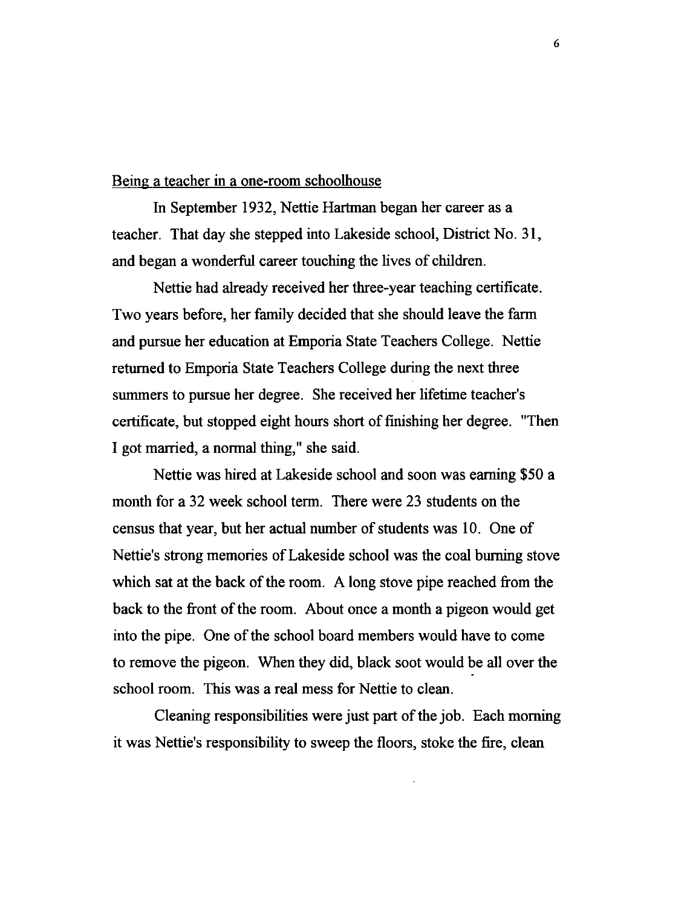#### Being a teacher in a one-room schoolhouse

In September 1932, Nettie Hartman began her career as a teacher. That day she stepped into Lakeside school, District No. 31, and began a wonderful career touching the lives of children.

Nettie had already received her three-year teaching certificate. Two years before, her family decided that she should leave the farm and pursue her education at Emporia State Teachers College. Nettie returned to Emporia State Teachers College during the next three summers to pursue her degree. She received her lifetime teacher's certificate, but stopped eight hours short of finishing her degree. "Then I got married, a normal thing," she said.

Nettie was hired at Lakeside school and soon was earning \$50 a month for a 32 week school term. There were 23 students on the census that year, but her actual number of students was 10. One of Nettie's strong memories of Lakeside school was the coal burning stove which sat at the back of the room. A long stove pipe reached from the back to the front of the room. About once a month a pigeon would get into the pipe. One of the school board members would have to come to remove the pigeon. When they did, black soot would be all over the school room. This was a real mess for Nettie to clean.

Cleaning responsibilities were just part of the job. Each morning it was Nettie's responsibility to sweep the floors, stoke the fire, clean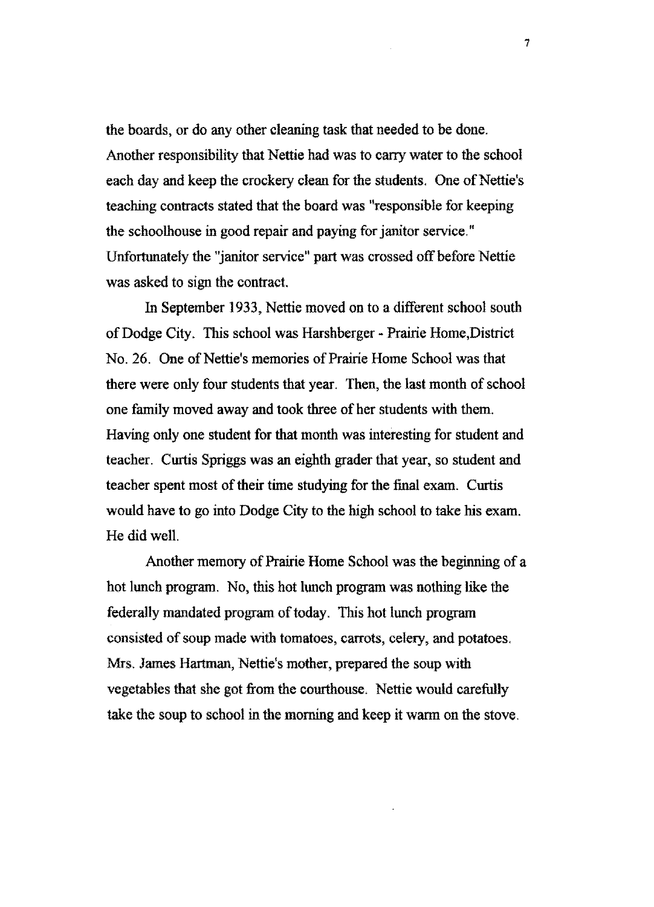the boards, or do any other cleaning task that needed to be done. Another responsibility that Nettie had was to cany water to the school each day and keep the crockery clean for the students. One of Nettie's teaching contracts stated that the board was "responsible for keeping the schoolhouse in good repair and paying for janitor service." Unfortunately the "janitor service" part was crossed off before Nettie was asked to sign the contract.

In September 1933, Nettie moved on to a different school south of Dodge City. This school was Harshberger - Prairie Home,District No. 26. One of Nettie's memories of Prairie Home School was that there were only four students that year. Then, the last month of school one family moved away and took three of her students with them. Having only one student for that month was interesting for student and teacher. Curtis Spriggs was an eighth grader that year, so student and teacher spent most of their time studying for the final exam. Curtis would have to go into Dodge City to the high school to take his exam. He did well.

Another memory of Prairie Home School was the beginning of a hot lunch program. No, this hot lunch program was nothing like the federally mandated program of today. This hot lunch program consisted of soup made with tomatoes, carrots, celery, and potatoes. Mrs. James Hartman, Nettie's mother, prepared the soup with vegetables that she got from the courthouse. Nettie would carefully take the soup to school in the morning and keep it warm on the stove.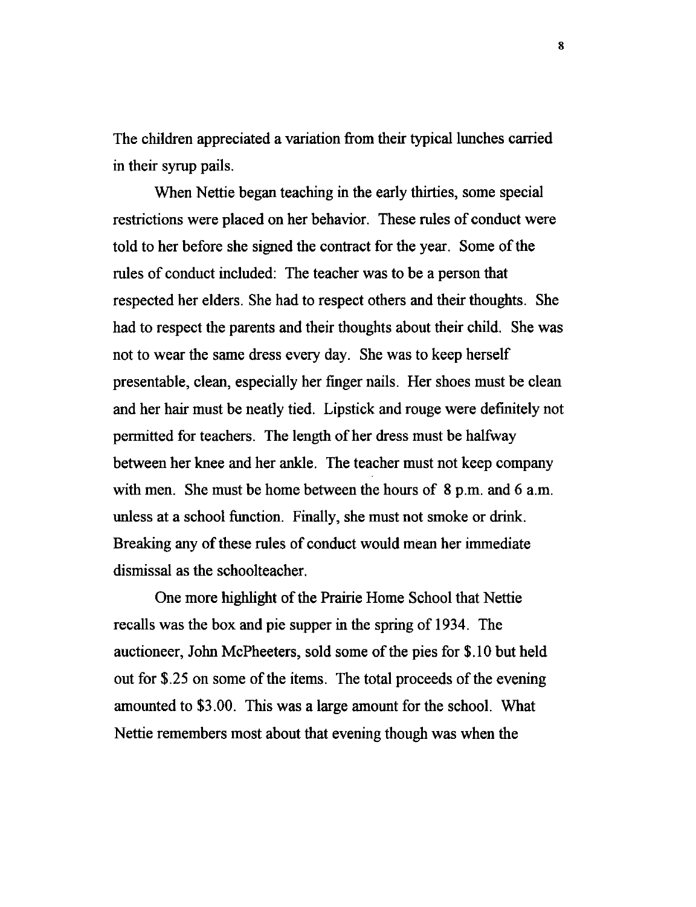The children appreciated a variation from their typical lunches carried in their syrup pails.

When Nettie began teaching in the early thirties, some special restrictions were placed on her behavior. These rules of conduct were told to her before she signed the contract for the year. Some of the rules of conduct included: The teacher was to be a person that respected her elders. She had to respect others and their thoughts. She had to respect the parents and their thoughts about their child. She was not to wear the same dress every day. She was to keep herself presentable, clean, especially her finger nails. Her shoes must be clean and her hair must be neatly tied. Lipstick and rouge were definitely not permitted for teachers. The length of her dress must be halfway between her knee and her ankle. The teacher must not keep company with men. She must be home between the hours of 8 p.m. and 6 a.m. unless at a school function. Finally, she must not smoke or drink. Breaking any of these rules of conduct would mean her immediate dismissal as the schoolteacher.

One more highlight of the Prairie Home School that Nettie recalls was the box and pie supper in the spring of 1934. The auctioneer, John McPheeters, sold some of the pies for \$.IO but held out for \$.25 on some of the items. The total proceeds of the evening amounted to \$3.00. This was a large amount for the school. What Nettie remembers most about that evening though was when the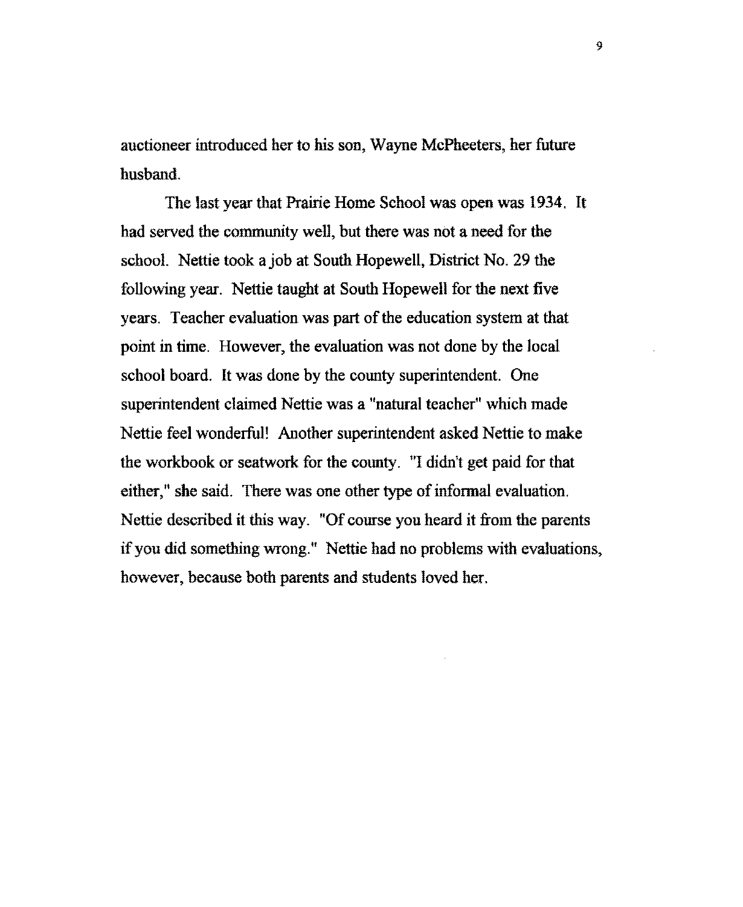auctioneer introduced her to his son, Wayne McPheeters, her future husband.

The last year that Prairie Home School was open was 1934. It had served the community well, but there was not a need for the school. Nettie took a job at South Hopewell, District No. 29 the following year. Nettie taught at South Hopewell for the next five years. Teacher evaluation was part of the education system at that point in time. However, the evaluation was not done by the local school board. It was done by the county superintendent. One superintendent claimed Nettie was a "natural teacher" which made Nettie feel wonderful! Another superintendent asked Nettie to make the workbook or seatwork for the county. "I didn't get paid for that either," she said. There was one other type of informal evaluation. Nettie described it this way. "Of course you heard it from the parents if you did something wrong." Nettie had no problems with evaluations, however, because both parents and students loved her.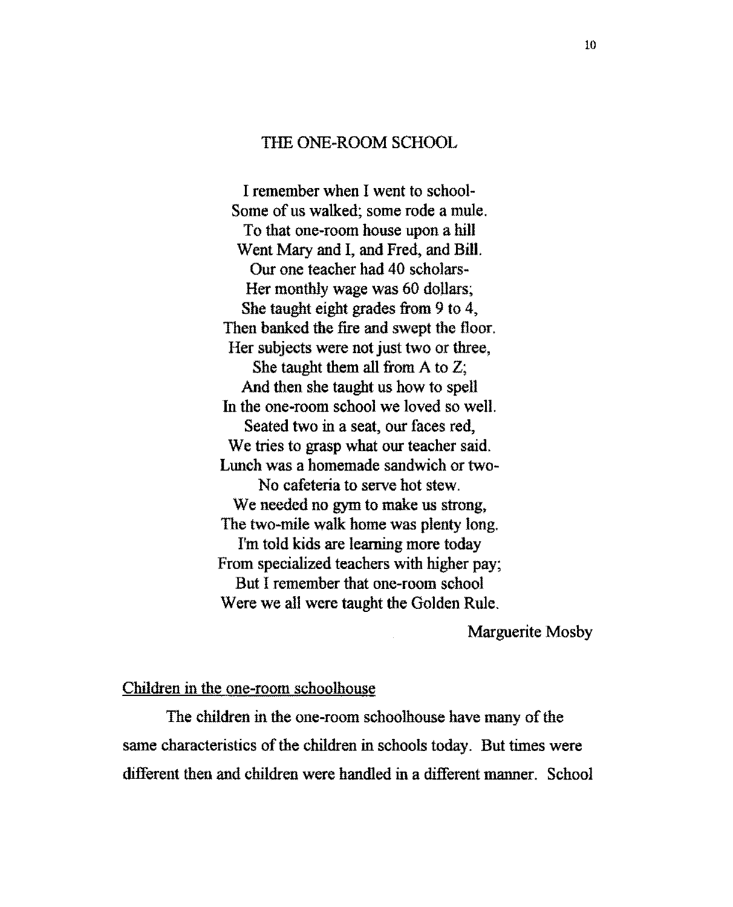## THE ONE-ROOM SCHOOL

I remember when I went to school-Some of us walked; some rode a mule. To that one-room house upon a hill Went Mary and I, and Fred, and Bill. Our one teacher had 40 scholars-Her monthly wage was 60 dollars; She taught eight grades from 9 to 4, Then banked the fire and swept the floor. Her subjects were not just two or three, She taught them all from A to Z; And then she taught us how to spell In the one-room school we loved so well. Seated two in a seat, our faces red, We tries to grasp what our teacher said. Lunch was a homemade sandwich or two-No cafeteria to serve hot stew. We needed no gym to make us strong, The two-mile walk home was plenty long. I'm told kids are learning more today From specialized teachers with higher pay; But I remember that one-room school Were we all were taught the Golden Rule.

#### Marguerite Mosby

## Children in the one-room schoolhouse

The children in the one-room schoolhouse have many of the same characteristics of the children in schools today. But times were different then and children were handled in a different manner. School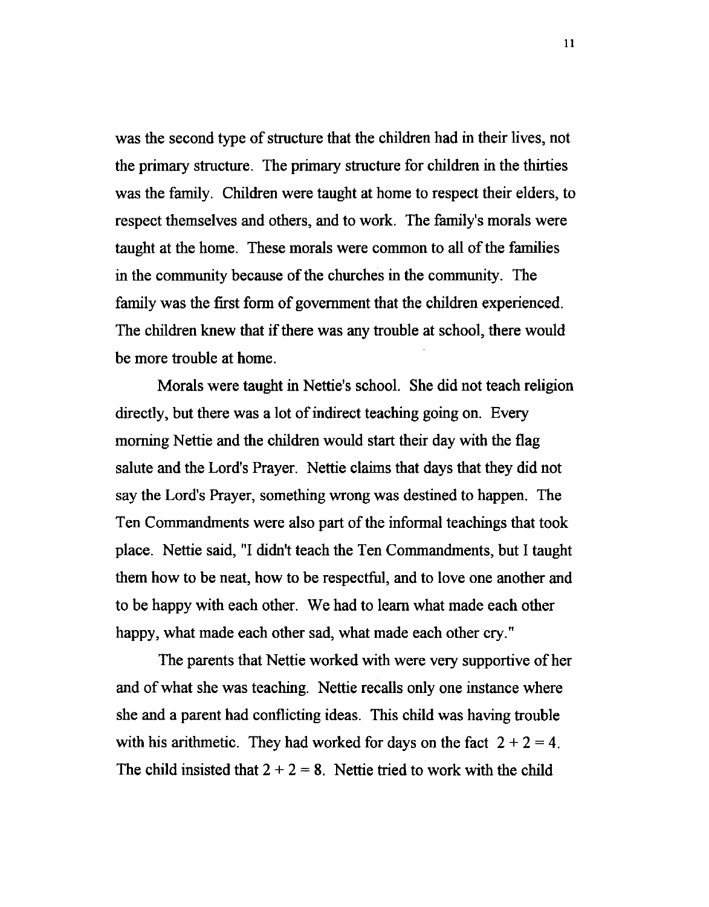was the second type of structure that the children had in their lives, not the primary structure. The primary structure for children in the thirties was the family. Children were taught at home to respect their elders, to respect themselves and others, and to work. The family's morals were taught at the home. These morals were common to all of the families in the community because of the churches in the community. The family was the first form of government that the children experienced. The children knew that if there was any trouble at school, there would be more trouble at home.

Morals were taught in Nettie's school. She did not teach religion directly, but there was a lot of indirect teaching going on. Every morning Nettie and the children would start their day with the flag salute and the Lord's Prayer. Nettie claims that days that they did not say the Lord's Prayer, something wrong was destined to happen. The Ten Commandments were also part of the informal teachings that took place. Nettie said, "I didn't teach the Ten Commandments, but I taught them how to be neat, how to be respectful, and to love one another and to be happy with each other. We had to learn what made each other happy, what made each other sad, what made each other cry."

The parents that Nettie worked with were very supportive of her and of what she was teaching. Nettie recalls only one instance where she and a parent had conflicting ideas. This child was having trouble with his arithmetic. They had worked for days on the fact  $2 + 2 = 4$ . The child insisted that  $2 + 2 = 8$ . Nettie tried to work with the child

11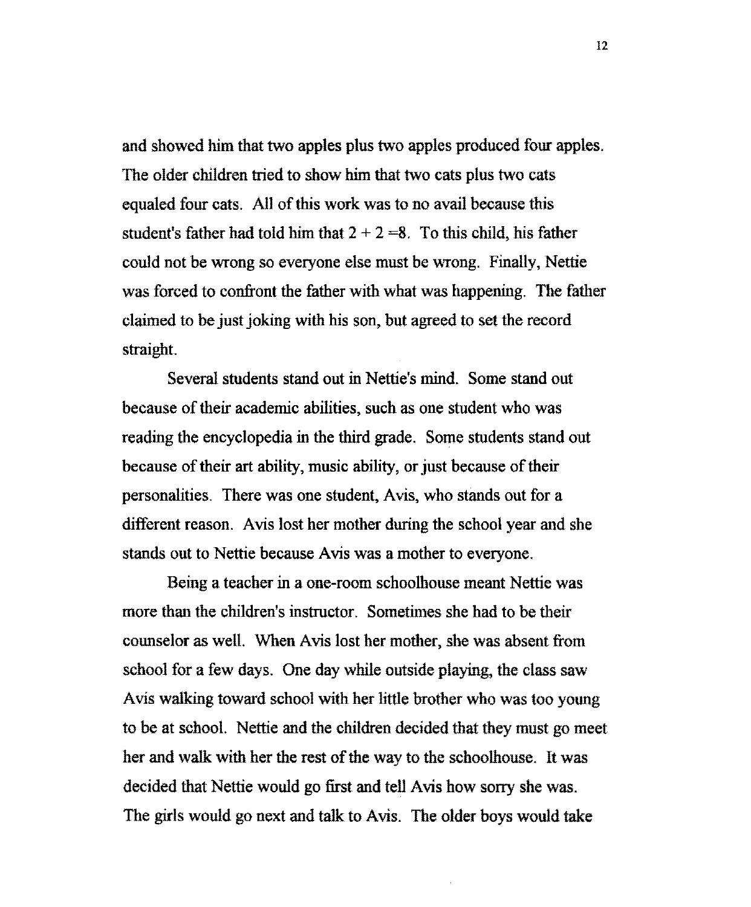and showed him that two apples plus two apples produced four apples. The older children tried to show him that two cats plus two cats equaled four cats. All of this work was to no avail because this student's father had told him that  $2 + 2 = 8$ . To this child, his father could not be wrong so everyone else must be wrong. Finally, Nettie was forced to confront the father with what was happening. The father claimed to be just joking with his son, but agreed to set the record straight.

Several students stand out in Nettie's mind. Some stand out because of their academic abilities, such as one student who was reading the encyclopedia in the third grade. Some students stand out because of their art ability, music ability, or just because of their personalities. There was one student, A vis, who stands out for a different reason. Avis lost her mother during the school year and she stands out to Nettie because Avis was a mother to everyone.

Being a teacher in a one-room schoolhouse meant Nettie was more than the children's instructor. Sometimes she had to be their counselor as well. When Avis lost her mother, she was absent from school for a few days. One day while outside playing, the class saw Avis walking toward school with her little brother who was too young to be at school. Nettie and the children decided that they must go meet her and walk with her the rest of the way to the schoolhouse. It was decided that Nettie would go first and tell Avis how sorry she was. The girls would go next and talk to Avis. The older boys would take

12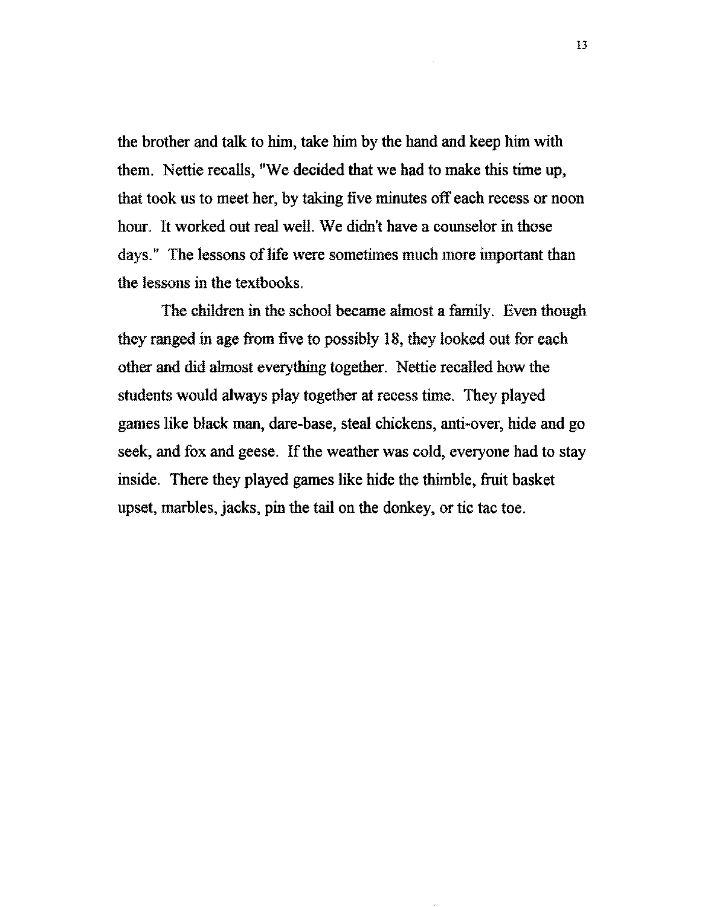the brother and talk to him, take him by the hand and keep him with them. Nettie recalls, "We decided that we had to make this time up, that took us to meet her, by taking five minutes off each recess or noon hour. It worked out real well. We didn't have a counselor in those days." The lessons of life were sometimes much more important than the lessons in the textbooks.

The children in the school became almost a family. Even though they ranged in age from five to possibly 18, they looked out for each other and did almost everything together. Nettie recalled how the students would always play together at recess time. They played games like black man, dare-base, steal chickens, anti-over, hide and go seek, and fox and geese. If the weather was cold, everyone had to stay inside. There they played games like hide the thimble, fruit basket upset, marbles, jacks, pin the tail on the donkey, or tic tac toe.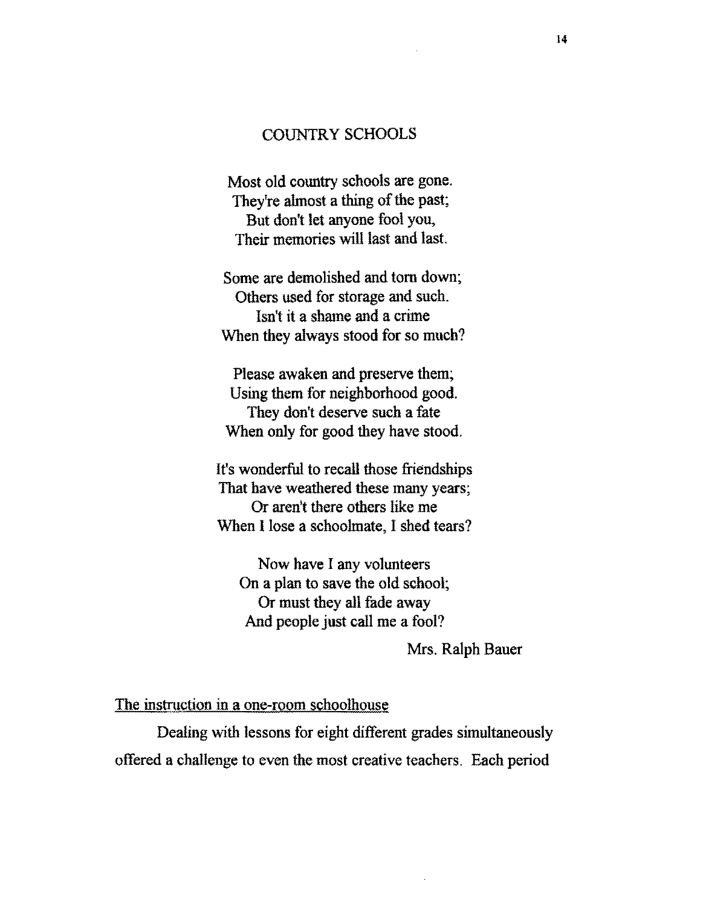### COUNTRY SCHOOLS

Most old country schools are gone. They're almost a thing of the past; But don't let anyone fool you, Their memories will last and last.

Some are demolished and tom down; Others used for storage and such. Isn't it a shame and a crime When they always stood for so much?

Please awaken and preserve them; Using them for neighborhood good. They don't deserve such a fate When only for good they have stood.

It's wonderful to recall those friendships That have weathered these many years; Or aren't there others like me When I lose a schoolmate, I shed tears?

Now have I any volunteers On a plan to save the old school; Or must they all fade away And people just call me a fool?

Mrs. Ralph Bauer

#### The instruction in a one-room schoolliouse

Dealing with lessons for eight different grades simultaneously offered a challenge to even the most creative teachers. Each period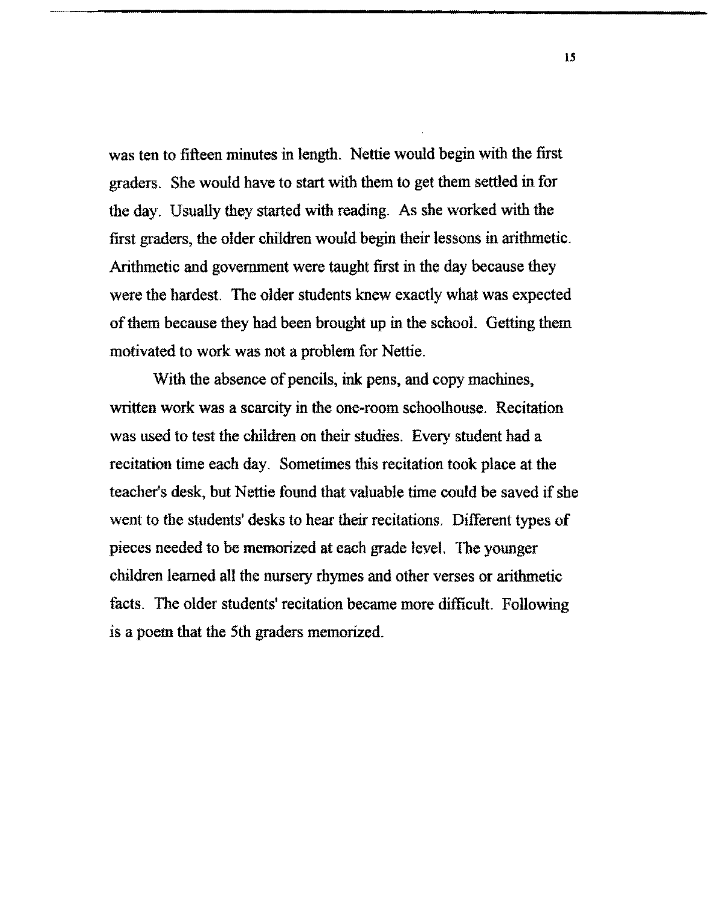was ten to fifteen minutes in length. Nettie would begin with the first graders. She would have to start with them to get them settled in for the day. Usually they started with reading. As she worked with the first graders, the older children would begin their lessons in arithmetic. Arithmetic and government were taught first in the day because they were the hardest. The older students knew exactly what was expected of them because they had been brought up in the school. Getting them motivated to work was not a problem for Nettie.

With the absence of pencils, ink pens, and copy machines, written work was a scarcity in the one-room schoolhouse. Recitation was used to test the children on their studies. Every student had a recitation time each day. Sometimes this recitation took place at the teacher's desk, but Nettie found that valuable time could be saved if she went to the students' desks to hear their recitations. Different types of pieces needed to be memorized at each grade level. The younger children learned all the nursery rhymes and other verses or arithmetic facts. The older students' recitation became more difficult. Following is a poem that the 5th graders memorized.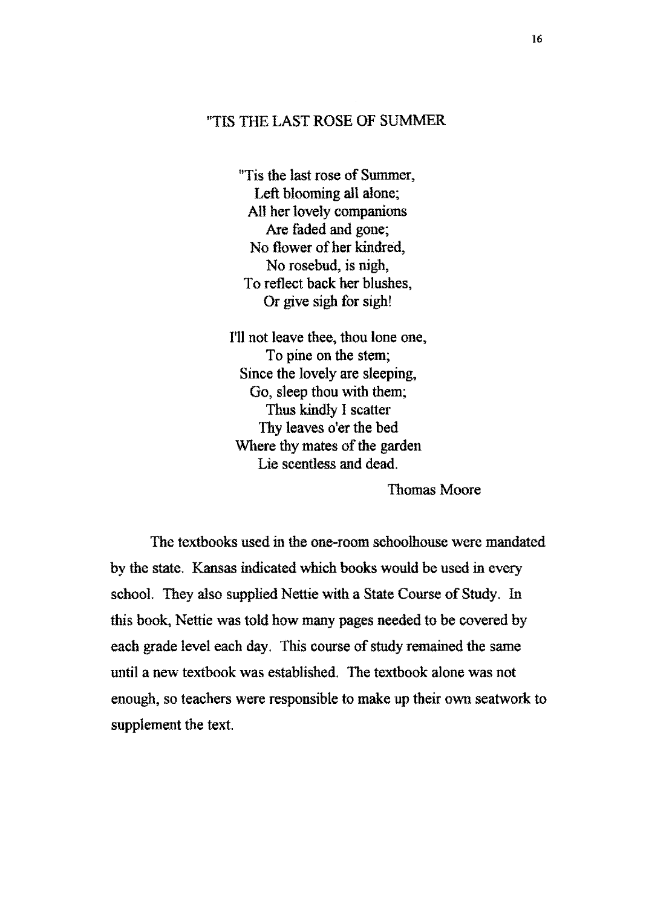# "TIS THE LAST ROSE OF SUMMER

"Tis the last rose of Summer, Left blooming all alone; All her lovely companions Are faded and gone; No flower of her kindred, No rosebud, is nigh, To reflect back her blushes, Or give sigh for sigh!

I'll not leave thee, thou lone one, To pine on the stem; Since the lovely are sleeping, Go, sleep thou with them; Thus kindly I scatter Thy leaves o'er the bed Where thy mates of the garden Lie scentless and dead.

Thomas Moore

The textbooks used in the one-room schoolhouse were mandated by the state. Kansas indicated which books would be used in every school. They also supplied Nettie with a State Course of Study. In this book, Nettie was told how many pages needed to be covered by each grade level each day. This course of study remained the same until a new textbook was established. The textbook alone was not enough, so teachers were responsible to make up their own seatwork to supplement the text.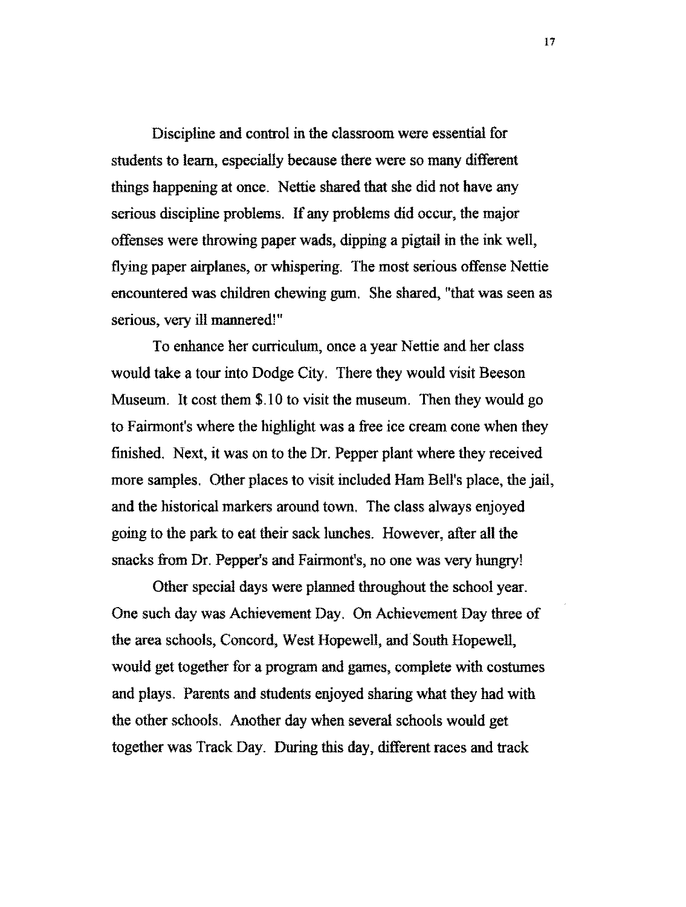Discipline and control in the classroom were essential for students to learn, especially because there were so many different things happening at once. Nettie shared that she did not have any serious discipline problems. If any problems did occur, the major offenses were throwing paper wads, dipping a pigtail in the ink well, flying paper airplanes, or whispering. The most serious offense Nettie encountered was children chewing gum. She shared, "that was seen as serious, very ill mannered!"

To enhance her curriculum, once a year Nettie and her class would take a tour into Dodge City. There they would visit Beeson Museum. It cost them \$.10 to visit the museum. Then they would go to Fairmont's where the highlight was a free ice cream cone when they finished. Next, it was on to the Dr. Pepper plant where they received more samples. Other places to visit included Ham Bell's place, the jail, and the historical markers around town. The class always enjoyed going to the park to eat their sack lunches. However, after all the snacks from Dr. Pepper's and Fairmont's, no one was very hungry!

Other special days were planned throughout the school year. One such day was Achievement Day. On Achievement Day three of the area schools, Concord, West Hopewell, and· South Hopewell, would get together for a program and games, complete with costumes and plays. Parents and students enjoyed sharing what they had with the other schools. Another day when several schools would get together was Track Day. During this day, different races and track

17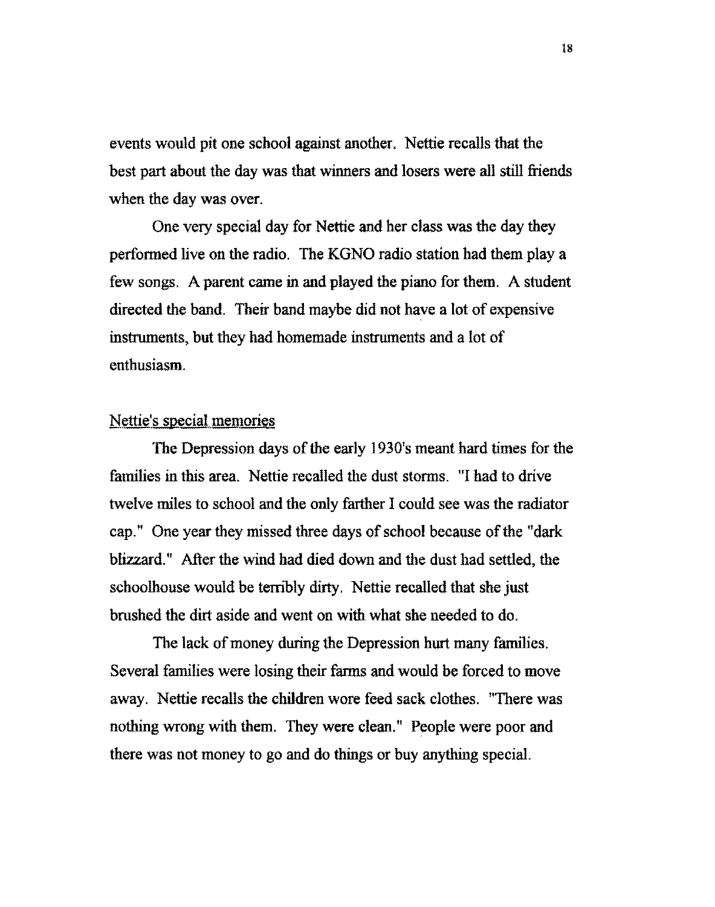events would pit one school against another. Nettie recalls that the best part about the day was that winners and losers were all still friends when the day was over.

One very special day for Nettie and her class was the day they perfomied live on the radio. The KGNO radio station had them play a few songs. A parent came in and played the piano for them. A student directed the band. Their band maybe did not have a lot of expensive instruments, but they had homemade instruments and a lot of enthusiasm.

# Nettie's special memories

The Depression days of the early 1930's meant hard times for the families in this area. Nettie recalled the dust storms. "I had to drive twelve miles to school and the only farther I could see was the radiator cap." One year they missed three days of school because of the "dark blizzard." After the wind had died down and the dust had settled, the schoolhouse would be terribly dirty. Nettie recalled that she just brushed the dirt aside and went on with what she needed to do.

The lack of money during the Depression hurt many families. Several families were losing their fanns and would be forced to move away. Nettie recalls the children wore feed sack clothes. "There was nothing wrong with them. They were clean." People were poor and there was not money to go and do things or buy anything special.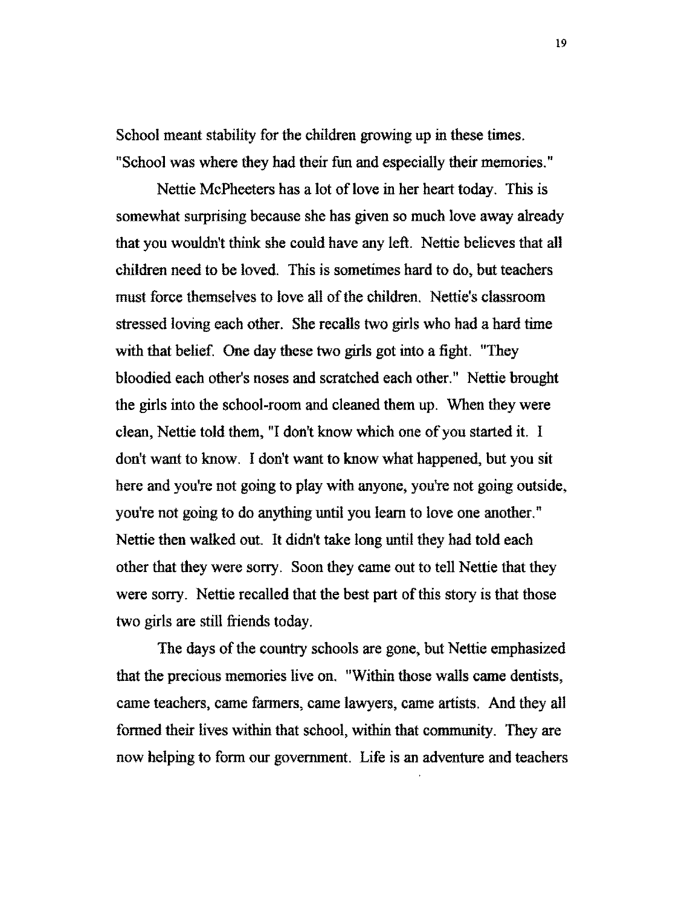School meant stability for the children growing up in these times. "School was where they had their fun and especially their memories."

Nettie McPheeters has a lot of love in her heart today. This is somewhat surprising because she has given so much love away already that you wouldn't think she could have any left. Nettie believes that all children need to be loved. This is sometimes hard to do, but teachers must force themselves to love all of the children. Nettie's classroom stressed loving each other. She recalls two girls who had a hard time with that belief. One day these two girls got into a fight. "They bloodied each other's noses and scratched each other." Nettie brought the girls into the school-room and cleaned them up. When they were clean, Nettie told them, "I don't know which one of you started it. I don't want to know. I don't want to know what happened, but you sit here and you're not going to play with anyone, you're not going outside, you're not going to do anything until you learn to love one another." Nettie then walked out. It didn't take long until they had told each other that they were sorry. Soon they came out to tell Nettie that they were sorry. Nettie recalled that the best part of this story is that those two girls are still friends today.

The days of the country schools are gone, but Nettie emphasized that the precious memories live on. "Within those walls came dentists, came teachers, came farmers, came lawyers, came artists. And they all formed their lives within that school, within that community. They are now helping to form our government. Life is an adventure and teachers